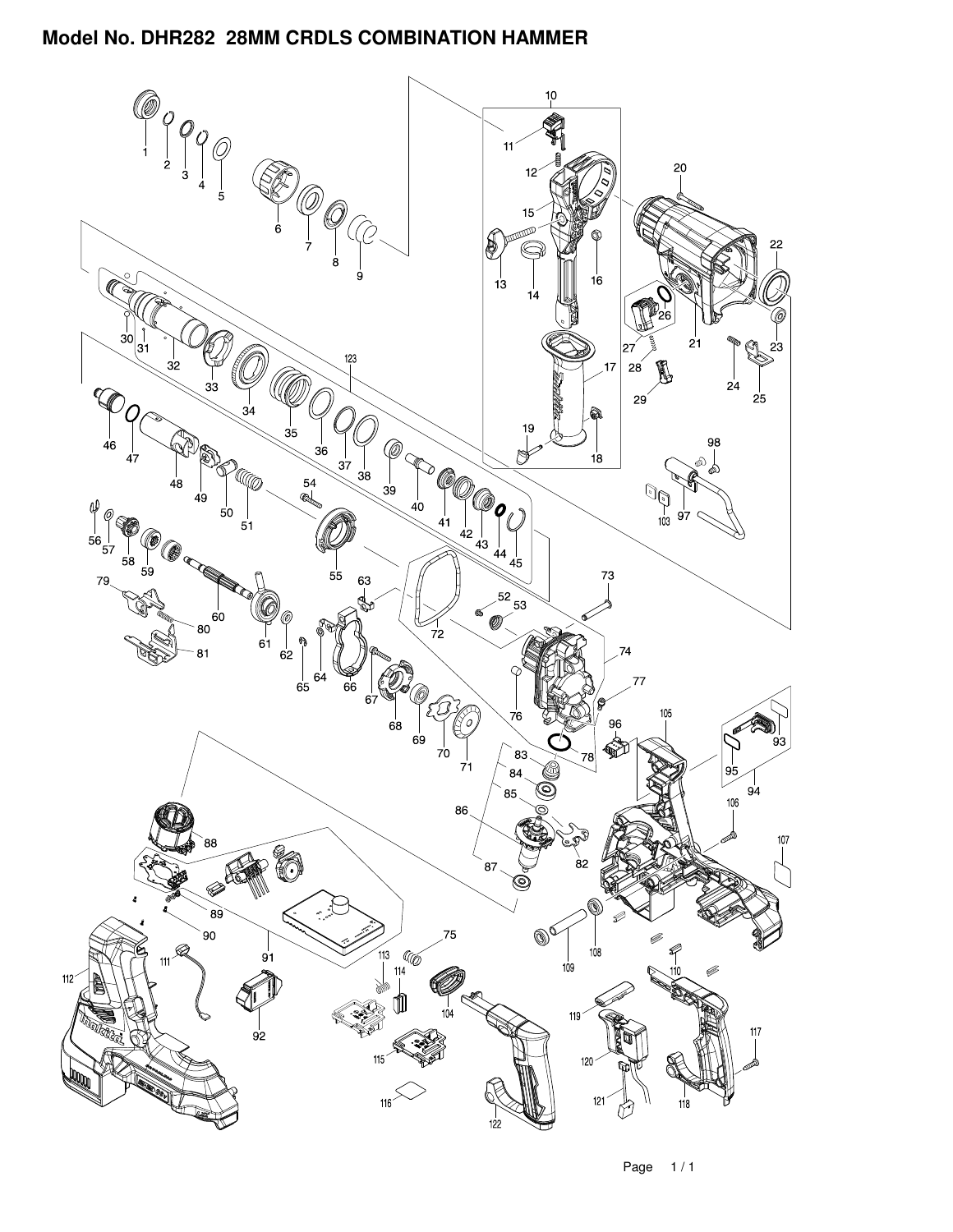

Page 1 / 1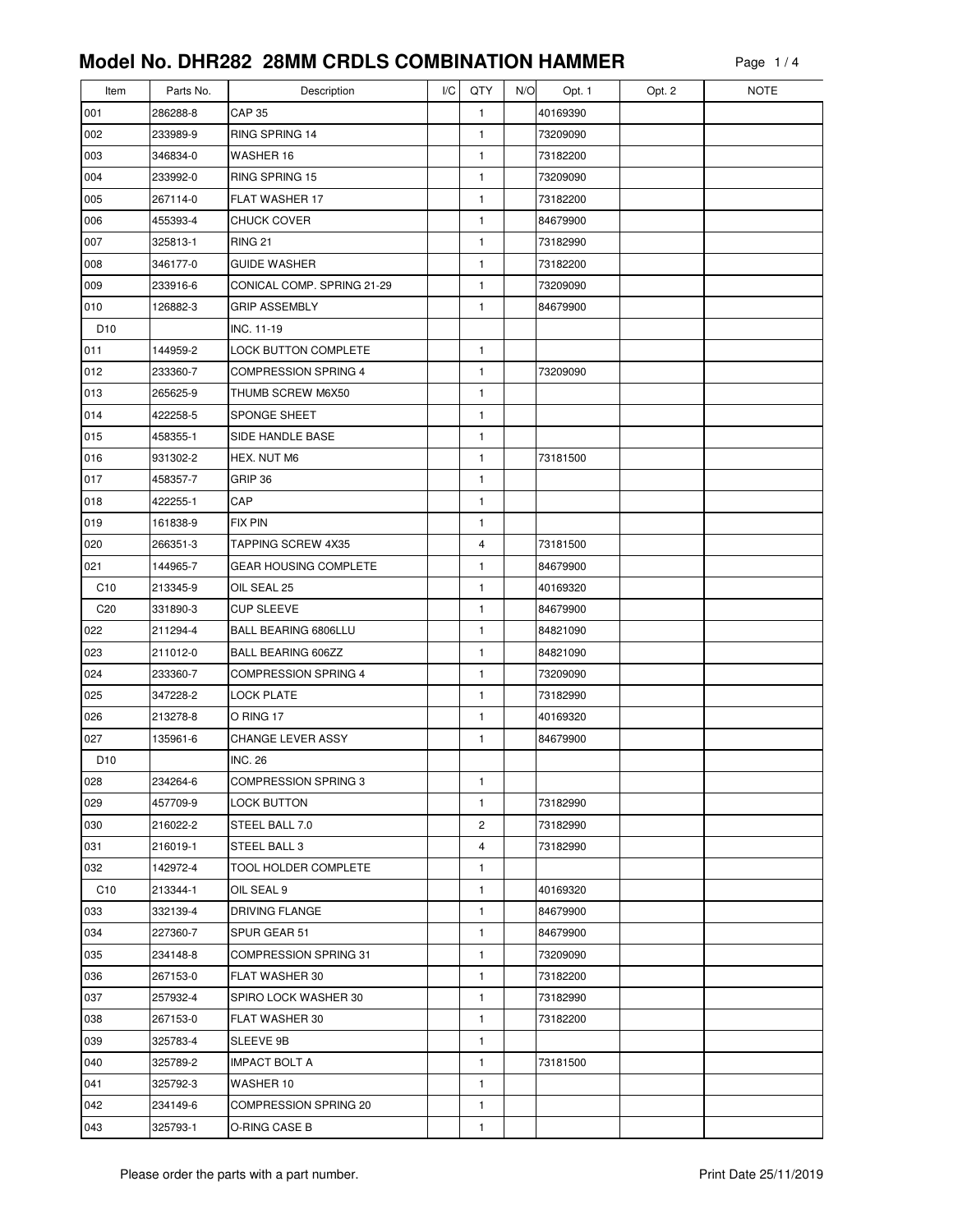| Item            | Parts No.            | Description                        | I/C | QTY          | N/O | Opt. 1   | Opt. 2 | <b>NOTE</b> |
|-----------------|----------------------|------------------------------------|-----|--------------|-----|----------|--------|-------------|
| 001             | 286288-8             | <b>CAP 35</b>                      |     | 1            |     | 40169390 |        |             |
| 002             | 233989-9             | RING SPRING 14                     |     | 1            |     | 73209090 |        |             |
| 003             | 346834-0             | WASHER 16                          |     | 1            |     | 73182200 |        |             |
| 004             | 233992-0             | RING SPRING 15                     |     | 1            |     | 73209090 |        |             |
| 005             | 267114-0             | FLAT WASHER 17                     |     | 1            |     | 73182200 |        |             |
| 006             | 455393-4             | <b>CHUCK COVER</b>                 |     | $\mathbf{1}$ |     | 84679900 |        |             |
| 007             | 325813-1             | <b>RING 21</b>                     |     | 1            |     | 73182990 |        |             |
| 008             | 346177-0             | <b>GUIDE WASHER</b>                |     | 1            |     | 73182200 |        |             |
| 009             | 233916-6             | CONICAL COMP. SPRING 21-29         |     | 1            |     | 73209090 |        |             |
| 010             | 126882-3             | <b>GRIP ASSEMBLY</b>               |     | $\mathbf{1}$ |     | 84679900 |        |             |
| D <sub>10</sub> |                      | INC. 11-19                         |     |              |     |          |        |             |
| 011             | 144959-2             | <b>LOCK BUTTON COMPLETE</b>        |     | 1            |     |          |        |             |
| 012             | 233360-7             | <b>COMPRESSION SPRING 4</b>        |     | $\mathbf{1}$ |     | 73209090 |        |             |
| 013             | 265625-9             | THUMB SCREW M6X50                  |     | 1            |     |          |        |             |
| 014             | 422258-5             | SPONGE SHEET                       |     | 1            |     |          |        |             |
| 015             | 458355-1             | SIDE HANDLE BASE                   |     | $\mathbf{1}$ |     |          |        |             |
| 016             | 931302-2             | HEX. NUT M6                        |     | 1            |     | 73181500 |        |             |
| 017             | 458357-7             | GRIP 36                            |     | 1            |     |          |        |             |
| 018             | 422255-1             | CAP                                |     | $\mathbf{1}$ |     |          |        |             |
| 019             | 161838-9             | <b>FIX PIN</b>                     |     | 1            |     |          |        |             |
| 020             | 266351-3             | TAPPING SCREW 4X35                 |     | 4            |     | 73181500 |        |             |
| 021             | 144965-7             | <b>GEAR HOUSING COMPLETE</b>       |     | 1            |     | 84679900 |        |             |
| C10             | 213345-9             | OIL SEAL 25                        |     | 1            |     | 40169320 |        |             |
| C <sub>20</sub> | 331890-3             | <b>CUP SLEEVE</b>                  |     | 1            |     | 84679900 |        |             |
| 022             | 211294-4             | BALL BEARING 6806LLU               |     | 1            |     | 84821090 |        |             |
| 023             | 211012-0             | <b>BALL BEARING 606ZZ</b>          |     | $\mathbf{1}$ |     | 84821090 |        |             |
| 024             | 233360-7             | <b>COMPRESSION SPRING 4</b>        |     | 1            |     | 73209090 |        |             |
| 025             | 347228-2             | <b>LOCK PLATE</b>                  |     | 1            |     | 73182990 |        |             |
| 026             | 213278-8             | O RING 17                          |     | $\mathbf{1}$ |     | 40169320 |        |             |
| 027             | 135961-6             | <b>CHANGE LEVER ASSY</b>           |     | 1            |     | 84679900 |        |             |
| D <sub>10</sub> |                      | <b>INC. 26</b>                     |     |              |     |          |        |             |
| 028             | 234264-6             | <b>COMPRESSION SPRING 3</b>        |     | 1            |     |          |        |             |
| 029             | 457709-9             | <b>LOCK BUTTON</b>                 |     | 1            |     | 73182990 |        |             |
| 030             | 216022-2             | STEEL BALL 7.0                     |     | 2            |     | 73182990 |        |             |
| 031             | 216019-1             | STEEL BALL 3                       |     | 4            |     | 73182990 |        |             |
| 032             | 142972-4             | TOOL HOLDER COMPLETE               |     | 1            |     |          |        |             |
| C <sub>10</sub> | 213344-1             | OIL SEAL 9                         |     | 1            |     | 40169320 |        |             |
| 033             | 332139-4             | DRIVING FLANGE                     |     | 1            |     | 84679900 |        |             |
| 034             | 227360-7             | SPUR GEAR 51                       |     | 1            |     | 84679900 |        |             |
| 035             | 234148-8             | COMPRESSION SPRING 31              |     | 1            |     | 73209090 |        |             |
| 036             | 267153-0             | FLAT WASHER 30                     |     | 1            |     | 73182200 |        |             |
| 037             | 257932-4             | SPIRO LOCK WASHER 30               |     | $\mathbf{1}$ |     | 73182990 |        |             |
| 038             | 267153-0             | FLAT WASHER 30                     |     | 1            |     | 73182200 |        |             |
| 039             | 325783-4             | SLEEVE 9B                          |     | 1            |     |          |        |             |
| 040             | 325789-2             | <b>IMPACT BOLT A</b>               |     | 1<br>1       |     | 73181500 |        |             |
| 041<br>042      | 325792-3<br>234149-6 | WASHER 10<br>COMPRESSION SPRING 20 |     |              |     |          |        |             |
| 043             |                      | O-RING CASE B                      |     | 1            |     |          |        |             |
|                 | 325793-1             |                                    |     | 1            |     |          |        |             |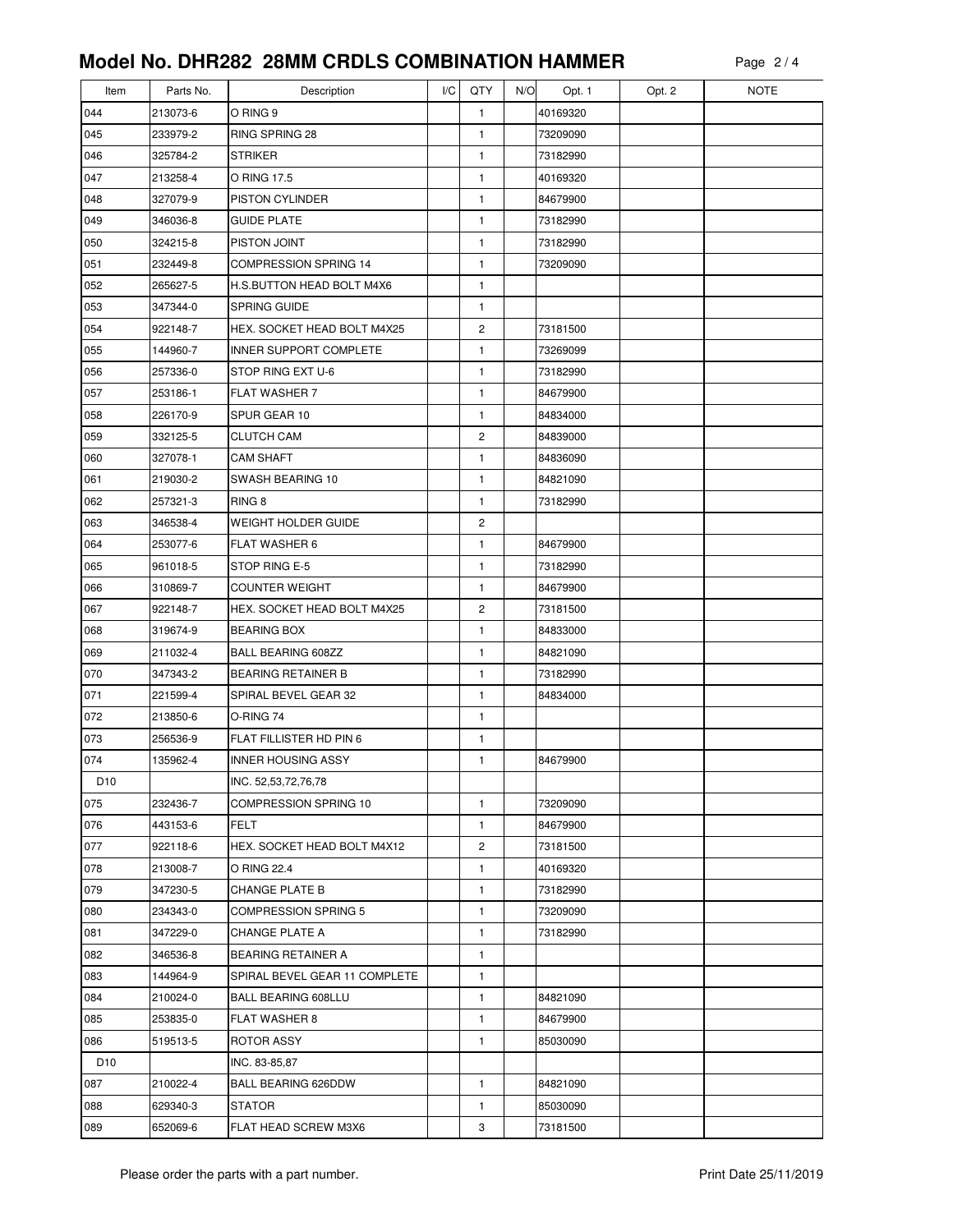| Item            | Parts No. | Description                   | I/C | QTY            | N/O | Opt. 1   | Opt. 2 | <b>NOTE</b> |
|-----------------|-----------|-------------------------------|-----|----------------|-----|----------|--------|-------------|
| 044             | 213073-6  | O RING 9                      |     | 1              |     | 40169320 |        |             |
| 045             | 233979-2  | RING SPRING 28                |     | 1              |     | 73209090 |        |             |
| 046             | 325784-2  | <b>STRIKER</b>                |     | 1              |     | 73182990 |        |             |
| 047             | 213258-4  | O RING 17.5                   |     | 1              |     | 40169320 |        |             |
| 048             | 327079-9  | PISTON CYLINDER               |     | 1              |     | 84679900 |        |             |
| 049             | 346036-8  | <b>GUIDE PLATE</b>            |     | 1              |     | 73182990 |        |             |
| 050             | 324215-8  | PISTON JOINT                  |     | $\mathbf{1}$   |     | 73182990 |        |             |
| 051             | 232449-8  | <b>COMPRESSION SPRING 14</b>  |     | 1              |     | 73209090 |        |             |
| 052             | 265627-5  | H.S.BUTTON HEAD BOLT M4X6     |     | 1              |     |          |        |             |
| 053             | 347344-0  | <b>SPRING GUIDE</b>           |     | $\mathbf{1}$   |     |          |        |             |
| 054             | 922148-7  | HEX. SOCKET HEAD BOLT M4X25   |     | $\overline{c}$ |     | 73181500 |        |             |
| 055             | 144960-7  | INNER SUPPORT COMPLETE        |     | 1              |     | 73269099 |        |             |
| 056             | 257336-0  | STOP RING EXT U-6             |     | 1              |     | 73182990 |        |             |
| 057             | 253186-1  | <b>FLAT WASHER 7</b>          |     | 1              |     | 84679900 |        |             |
| 058             | 226170-9  | SPUR GEAR 10                  |     | 1              |     | 84834000 |        |             |
| 059             | 332125-5  | <b>CLUTCH CAM</b>             |     | $\overline{c}$ |     | 84839000 |        |             |
| 060             | 327078-1  | <b>CAM SHAFT</b>              |     | 1              |     | 84836090 |        |             |
| 061             | 219030-2  | SWASH BEARING 10              |     | 1              |     | 84821090 |        |             |
| 062             | 257321-3  | RING <sub>8</sub>             |     | $\mathbf{1}$   |     | 73182990 |        |             |
| 063             | 346538-4  | WEIGHT HOLDER GUIDE           |     | 2              |     |          |        |             |
| 064             | 253077-6  | <b>FLAT WASHER 6</b>          |     | 1              |     | 84679900 |        |             |
| 065             | 961018-5  | STOP RING E-5                 |     | 1              |     | 73182990 |        |             |
| 066             | 310869-7  | <b>COUNTER WEIGHT</b>         |     | 1              |     | 84679900 |        |             |
| 067             | 922148-7  | HEX. SOCKET HEAD BOLT M4X25   |     | 2              |     | 73181500 |        |             |
| 068             | 319674-9  | <b>BEARING BOX</b>            |     | 1              |     | 84833000 |        |             |
| 069             | 211032-4  | <b>BALL BEARING 608ZZ</b>     |     | $\mathbf{1}$   |     | 84821090 |        |             |
| 070             | 347343-2  | <b>BEARING RETAINER B</b>     |     | 1              |     | 73182990 |        |             |
| 071             | 221599-4  | SPIRAL BEVEL GEAR 32          |     | 1              |     | 84834000 |        |             |
| 072             | 213850-6  | O-RING 74                     |     | 1              |     |          |        |             |
| 073             | 256536-9  | FLAT FILLISTER HD PIN 6       |     | 1              |     |          |        |             |
| 074             | 135962-4  | <b>INNER HOUSING ASSY</b>     |     | 1              |     | 84679900 |        |             |
| D <sub>10</sub> |           | INC. 52,53,72,76,78           |     |                |     |          |        |             |
| 075             | 232436-7  | COMPRESSION SPRING 10         |     | 1              |     | 73209090 |        |             |
| 076             | 443153-6  | FELT                          |     | 1              |     | 84679900 |        |             |
| 077             | 922118-6  | HEX. SOCKET HEAD BOLT M4X12   |     | 2              |     | 73181500 |        |             |
| 078             | 213008-7  | O RING 22.4                   |     | 1              |     | 40169320 |        |             |
| 079             | 347230-5  | <b>CHANGE PLATE B</b>         |     | 1              |     | 73182990 |        |             |
| 080             | 234343-0  | <b>COMPRESSION SPRING 5</b>   |     | 1              |     | 73209090 |        |             |
| 081             | 347229-0  | CHANGE PLATE A                |     | 1              |     | 73182990 |        |             |
| 082             | 346536-8  | <b>BEARING RETAINER A</b>     |     | 1              |     |          |        |             |
| 083             | 144964-9  | SPIRAL BEVEL GEAR 11 COMPLETE |     | 1              |     |          |        |             |
| 084             | 210024-0  | <b>BALL BEARING 608LLU</b>    |     | $\mathbf{1}$   |     | 84821090 |        |             |
| 085             | 253835-0  | <b>FLAT WASHER 8</b>          |     | 1              |     | 84679900 |        |             |
| 086             | 519513-5  | ROTOR ASSY                    |     | 1              |     | 85030090 |        |             |
| D <sub>10</sub> |           | INC. 83-85,87                 |     |                |     |          |        |             |
| 087             | 210022-4  | <b>BALL BEARING 626DDW</b>    |     | 1              |     | 84821090 |        |             |
| 088             | 629340-3  | <b>STATOR</b>                 |     | 1              |     | 85030090 |        |             |
| 089             | 652069-6  | FLAT HEAD SCREW M3X6          |     | 3              |     | 73181500 |        |             |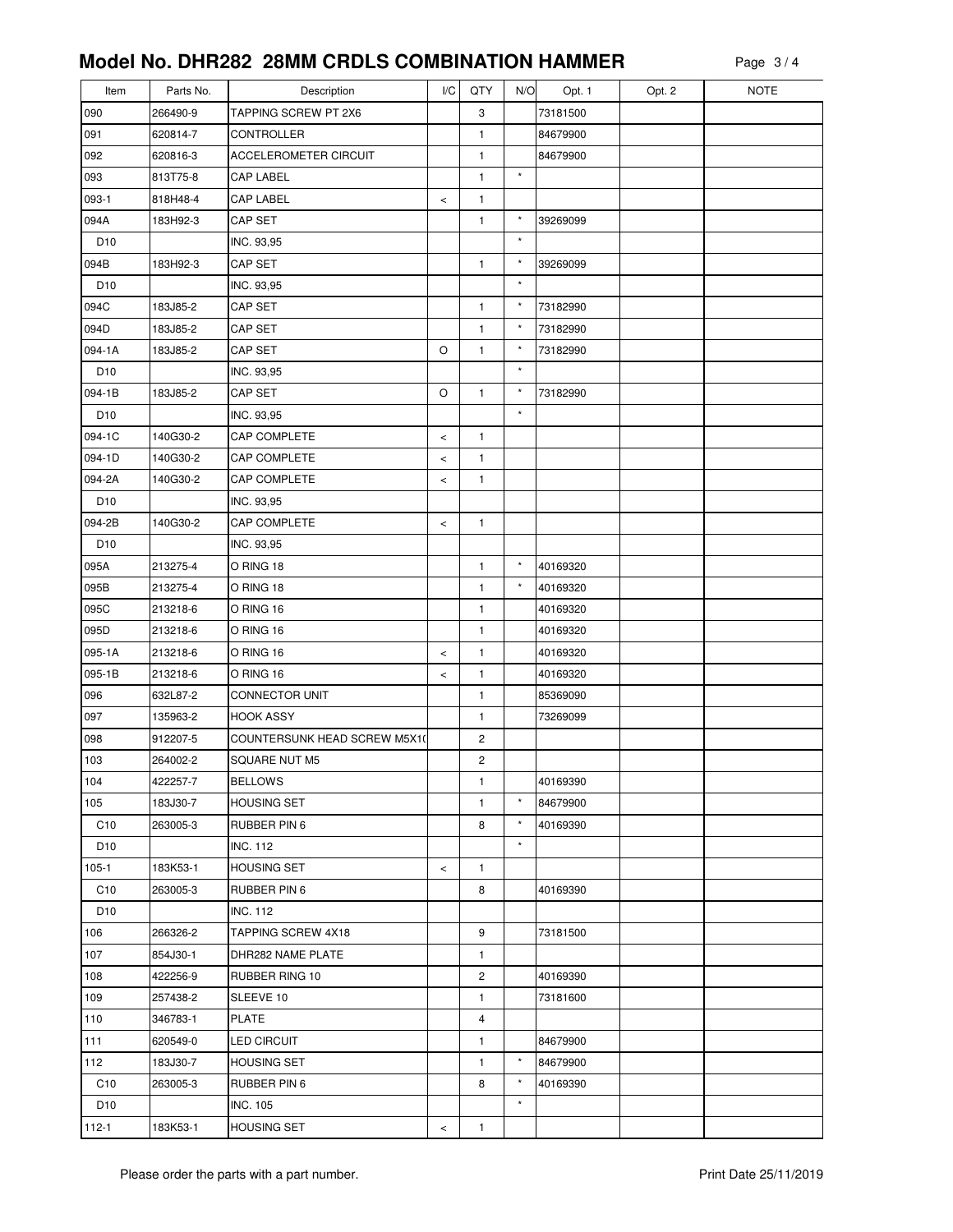| Item            | Parts No. | Description                  | I/C   | QTY                     | N/O                | Opt. 1   | Opt. 2 | <b>NOTE</b> |
|-----------------|-----------|------------------------------|-------|-------------------------|--------------------|----------|--------|-------------|
| 090             | 266490-9  | TAPPING SCREW PT 2X6         |       | 3                       |                    | 73181500 |        |             |
| 091             | 620814-7  | CONTROLLER                   |       | 1                       |                    | 84679900 |        |             |
| 092             | 620816-3  | ACCELEROMETER CIRCUIT        |       | 1                       |                    | 84679900 |        |             |
| 093             | 813T75-8  | CAP LABEL                    |       | 1                       | $^\star$           |          |        |             |
| 093-1           | 818H48-4  | <b>CAP LABEL</b>             | $\,<$ | $\mathbf{1}$            |                    |          |        |             |
| 094A            | 183H92-3  | CAP SET                      |       | $\mathbf{1}$            | $\star$            | 39269099 |        |             |
| D <sub>10</sub> |           | INC. 93,95                   |       |                         | $^\star$           |          |        |             |
| 094B            | 183H92-3  | CAP SET                      |       | $\mathbf{1}$            | $\star$            | 39269099 |        |             |
| D <sub>10</sub> |           | INC. 93,95                   |       |                         | $\star$            |          |        |             |
| 094C            | 183J85-2  | <b>CAP SET</b>               |       | $\mathbf{1}$            | $\star$            | 73182990 |        |             |
| 094D            | 183J85-2  | CAP SET                      |       | 1                       | $\star$            | 73182990 |        |             |
| 094-1A          | 183J85-2  | CAP SET                      | O     | $\mathbf{1}$            | $^\star$           | 73182990 |        |             |
| D <sub>10</sub> |           | INC. 93,95                   |       |                         | $^\star$           |          |        |             |
| 094-1B          | 183J85-2  | CAP SET                      | O     | $\mathbf{1}$            | $\star$            | 73182990 |        |             |
| D <sub>10</sub> |           | INC. 93,95                   |       |                         | $\star$            |          |        |             |
| 094-1C          | 140G30-2  | CAP COMPLETE                 | $\,<$ | $\mathbf{1}$            |                    |          |        |             |
| 094-1D          | 140G30-2  | <b>CAP COMPLETE</b>          | $\,<$ | $\mathbf{1}$            |                    |          |        |             |
| 094-2A          | 140G30-2  | <b>CAP COMPLETE</b>          | $\,<$ | $\mathbf{1}$            |                    |          |        |             |
| D <sub>10</sub> |           | INC. 93,95                   |       |                         |                    |          |        |             |
| 094-2B          | 140G30-2  | CAP COMPLETE                 | $\,<$ | $\mathbf{1}$            |                    |          |        |             |
| D <sub>10</sub> |           | INC. 93,95                   |       |                         |                    |          |        |             |
| 095A            | 213275-4  | O RING 18                    |       | $\mathbf{1}$            | $\star$            | 40169320 |        |             |
| 095B            | 213275-4  | O RING 18                    |       | 1                       | $^\star$           | 40169320 |        |             |
| 095C            | 213218-6  | O RING 16                    |       | 1                       |                    | 40169320 |        |             |
| 095D            | 213218-6  | O RING 16                    |       | 1                       |                    | 40169320 |        |             |
| 095-1A          | 213218-6  | O RING 16                    | $\,<$ | $\mathbf{1}$            |                    | 40169320 |        |             |
| 095-1B          | 213218-6  | O RING 16                    | $\,<$ | 1                       |                    | 40169320 |        |             |
| 096             | 632L87-2  | CONNECTOR UNIT               |       | 1                       |                    | 85369090 |        |             |
| 097             | 135963-2  | <b>HOOK ASSY</b>             |       | $\mathbf{1}$            |                    | 73269099 |        |             |
| 098             | 912207-5  | COUNTERSUNK HEAD SCREW M5X1( |       | $\overline{\mathbf{c}}$ |                    |          |        |             |
| 103             | 264002-2  | <b>SQUARE NUT M5</b>         |       | 2                       |                    |          |        |             |
| 104             | 422257-7  | <b>BELLOWS</b>               |       | $\mathbf{1}$            |                    | 40169390 |        |             |
| 105             | 183J30-7  | <b>HOUSING SET</b>           |       | $\mathbf{1}$            | $\star$            | 84679900 |        |             |
| C10             | 263005-3  | RUBBER PIN 6                 |       | 8                       | $\star$            | 40169390 |        |             |
| D <sub>10</sub> |           | <b>INC. 112</b>              |       |                         | $\star$            |          |        |             |
| $105 - 1$       | 183K53-1  | <b>HOUSING SET</b>           | $\,<$ | 1                       |                    |          |        |             |
| C <sub>10</sub> | 263005-3  | RUBBER PIN 6                 |       | 8                       |                    | 40169390 |        |             |
| D <sub>10</sub> |           | <b>INC. 112</b>              |       |                         |                    |          |        |             |
| 106             | 266326-2  | <b>TAPPING SCREW 4X18</b>    |       | 9                       |                    | 73181500 |        |             |
| 107             | 854J30-1  | DHR282 NAME PLATE            |       | 1                       |                    |          |        |             |
| 108             | 422256-9  | <b>RUBBER RING 10</b>        |       | $\overline{\mathbf{c}}$ |                    | 40169390 |        |             |
| 109             | 257438-2  | SLEEVE 10                    |       | 1                       |                    | 73181600 |        |             |
| 110             | 346783-1  | PLATE                        |       | 4                       |                    |          |        |             |
| 111             | 620549-0  | <b>LED CIRCUIT</b>           |       | 1                       |                    | 84679900 |        |             |
| 112             | 183J30-7  | <b>HOUSING SET</b>           |       | $\mathbf{1}$            | $\star$            | 84679900 |        |             |
| C10             | 263005-3  | RUBBER PIN 6                 |       | 8                       | $\star$<br>$\star$ | 40169390 |        |             |
| D <sub>10</sub> |           | <b>INC. 105</b>              |       |                         |                    |          |        |             |
| $112 - 1$       | 183K53-1  | <b>HOUSING SET</b>           | $\,<$ | $\mathbf{1}$            |                    |          |        |             |